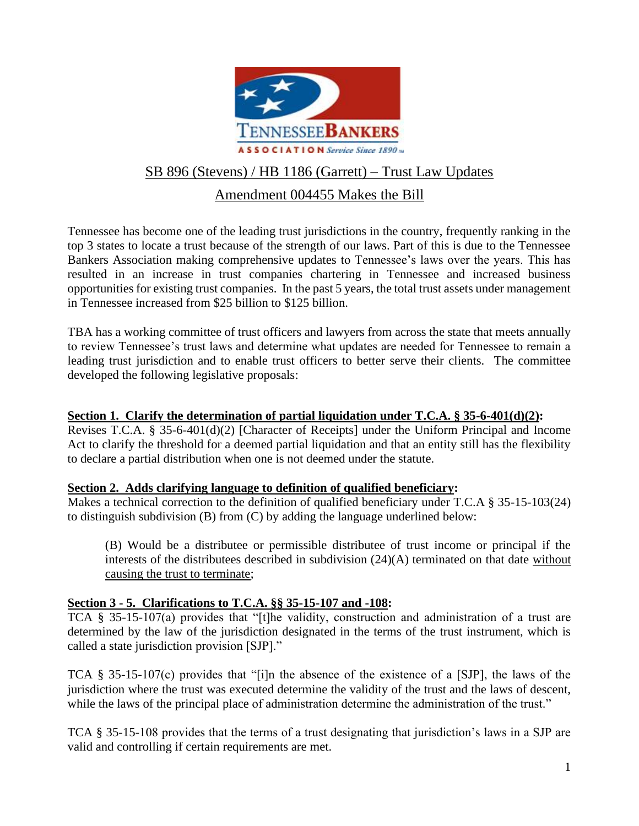

# SB 896 (Stevens) / HB 1186 (Garrett) – Trust Law Updates

# Amendment 004455 Makes the Bill

Tennessee has become one of the leading trust jurisdictions in the country, frequently ranking in the top 3 states to locate a trust because of the strength of our laws. Part of this is due to the Tennessee Bankers Association making comprehensive updates to Tennessee's laws over the years. This has resulted in an increase in trust companies chartering in Tennessee and increased business opportunities for existing trust companies. In the past 5 years, the total trust assets under management in Tennessee increased from \$25 billion to \$125 billion.

TBA has a working committee of trust officers and lawyers from across the state that meets annually to review Tennessee's trust laws and determine what updates are needed for Tennessee to remain a leading trust jurisdiction and to enable trust officers to better serve their clients. The committee developed the following legislative proposals:

# **Section 1. Clarify the determination of partial liquidation under T.C.A. § 35-6-401(d)(2):**

Revises T.C.A. § 35-6-401(d)(2) [Character of Receipts] under the Uniform Principal and Income Act to clarify the threshold for a deemed partial liquidation and that an entity still has the flexibility to declare a partial distribution when one is not deemed under the statute.

# **Section 2. Adds clarifying language to definition of qualified beneficiary:**

Makes a technical correction to the definition of qualified beneficiary under T.C.A § 35-15-103(24) to distinguish subdivision (B) from (C) by adding the language underlined below:

(B) Would be a distributee or permissible distributee of trust income or principal if the interests of the distributees described in subdivision (24)(A) terminated on that date without causing the trust to terminate;

# **Section 3 - 5. Clarifications to T.C.A. §§ 35-15-107 and -108:**

TCA § 35-15-107(a) provides that "[t]he validity, construction and administration of a trust are determined by the law of the jurisdiction designated in the terms of the trust instrument, which is called a state jurisdiction provision [SJP]."

TCA § 35-15-107(c) provides that "[i]n the absence of the existence of a [SJP], the laws of the jurisdiction where the trust was executed determine the validity of the trust and the laws of descent, while the laws of the principal place of administration determine the administration of the trust."

TCA § 35-15-108 provides that the terms of a trust designating that jurisdiction's laws in a SJP are valid and controlling if certain requirements are met.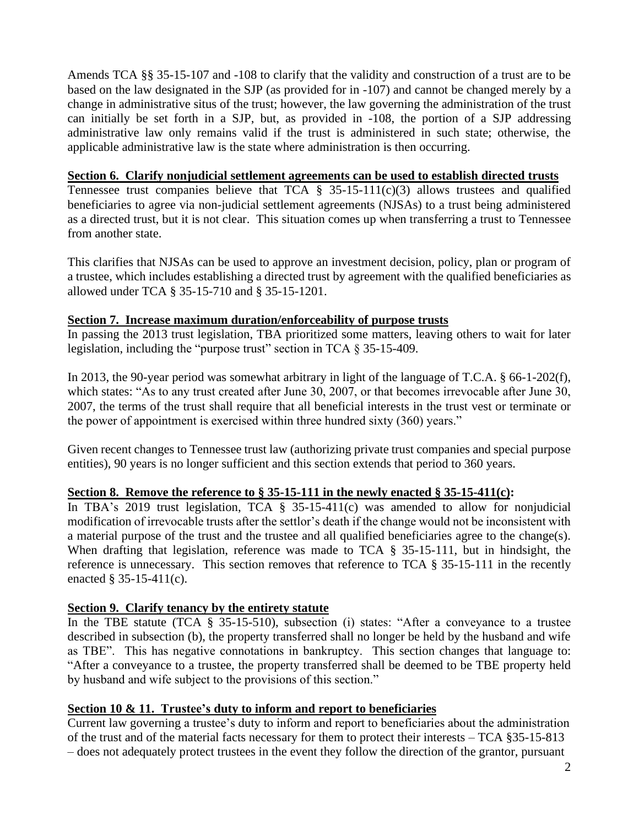Amends TCA §§ 35-15-107 and -108 to clarify that the validity and construction of a trust are to be based on the law designated in the SJP (as provided for in -107) and cannot be changed merely by a change in administrative situs of the trust; however, the law governing the administration of the trust can initially be set forth in a SJP, but, as provided in -108, the portion of a SJP addressing administrative law only remains valid if the trust is administered in such state; otherwise, the applicable administrative law is the state where administration is then occurring.

## **Section 6. Clarify nonjudicial settlement agreements can be used to establish directed trusts**

Tennessee trust companies believe that TCA  $\S$  35-15-111(c)(3) allows trustees and qualified beneficiaries to agree via non-judicial settlement agreements (NJSAs) to a trust being administered as a directed trust, but it is not clear. This situation comes up when transferring a trust to Tennessee from another state.

This clarifies that NJSAs can be used to approve an investment decision, policy, plan or program of a trustee, which includes establishing a directed trust by agreement with the qualified beneficiaries as allowed under TCA § 35-15-710 and § 35-15-1201.

#### **Section 7. Increase maximum duration/enforceability of purpose trusts**

In passing the 2013 trust legislation, TBA prioritized some matters, leaving others to wait for later legislation, including the "purpose trust" section in TCA § 35-15-409.

In 2013, the 90-year period was somewhat arbitrary in light of the language of T.C.A. § 66-1-202(f), which states: "As to any trust created after June 30, 2007, or that becomes irrevocable after June 30, 2007, the terms of the trust shall require that all beneficial interests in the trust vest or terminate or the power of appointment is exercised within three hundred sixty (360) years."

Given recent changes to Tennessee trust law (authorizing private trust companies and special purpose entities), 90 years is no longer sufficient and this section extends that period to 360 years.

#### **Section 8. Remove the reference to § 35-15-111 in the newly enacted § 35-15-411(c):**

In TBA's 2019 trust legislation, TCA  $\S$  35-15-411(c) was amended to allow for nonjudicial modification of irrevocable trusts after the settlor's death if the change would not be inconsistent with a material purpose of the trust and the trustee and all qualified beneficiaries agree to the change(s). When drafting that legislation, reference was made to TCA § 35-15-111, but in hindsight, the reference is unnecessary. This section removes that reference to TCA § 35-15-111 in the recently enacted § 35-15-411(c).

#### **Section 9. Clarify tenancy by the entirety statute**

In the TBE statute (TCA § 35-15-510), subsection (i) states: "After a conveyance to a trustee described in subsection (b), the property transferred shall no longer be held by the husband and wife as TBE". This has negative connotations in bankruptcy. This section changes that language to: "After a conveyance to a trustee, the property transferred shall be deemed to be TBE property held by husband and wife subject to the provisions of this section."

# **Section 10 & 11. Trustee's duty to inform and report to beneficiaries**

Current law governing a trustee's duty to inform and report to beneficiaries about the administration of the trust and of the material facts necessary for them to protect their interests – TCA §35-15-813 – does not adequately protect trustees in the event they follow the direction of the grantor, pursuant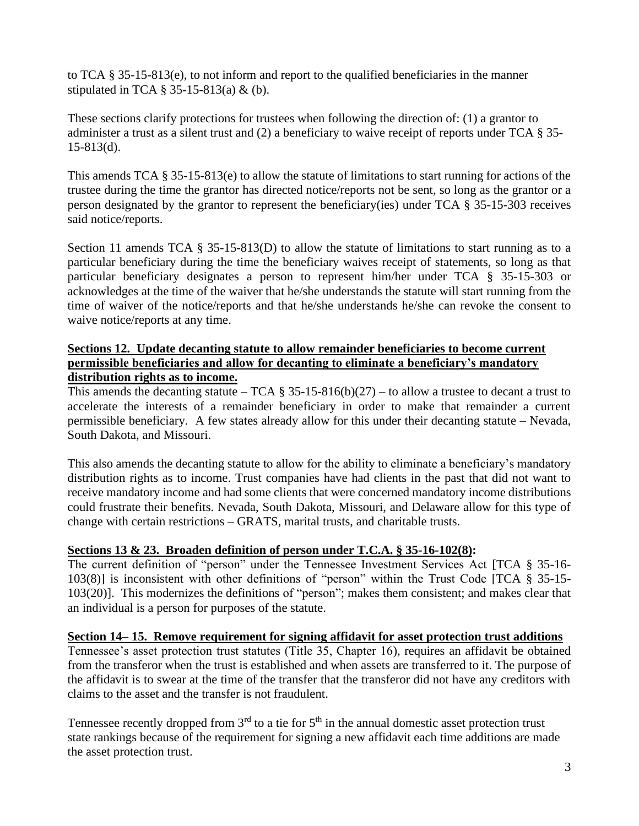to TCA § 35-15-813(e), to not inform and report to the qualified beneficiaries in the manner stipulated in TCA  $\S$  35-15-813(a) & (b).

These sections clarify protections for trustees when following the direction of: (1) a grantor to administer a trust as a silent trust and (2) a beneficiary to waive receipt of reports under TCA § 35-  $15-813(d)$ .

This amends TCA § 35-15-813(e) to allow the statute of limitations to start running for actions of the trustee during the time the grantor has directed notice/reports not be sent, so long as the grantor or a person designated by the grantor to represent the beneficiary(ies) under TCA § 35-15-303 receives said notice/reports.

Section 11 amends TCA  $\S$  35-15-813(D) to allow the statute of limitations to start running as to a particular beneficiary during the time the beneficiary waives receipt of statements, so long as that particular beneficiary designates a person to represent him/her under TCA § 35-15-303 or acknowledges at the time of the waiver that he/she understands the statute will start running from the time of waiver of the notice/reports and that he/she understands he/she can revoke the consent to waive notice/reports at any time.

## **Sections 12. Update decanting statute to allow remainder beneficiaries to become current permissible beneficiaries and allow for decanting to eliminate a beneficiary's mandatory distribution rights as to income.**

This amends the decanting statute – TCA  $\S 35$ -15-816(b)(27) – to allow a trustee to decant a trust to accelerate the interests of a remainder beneficiary in order to make that remainder a current permissible beneficiary. A few states already allow for this under their decanting statute – Nevada, South Dakota, and Missouri.

This also amends the decanting statute to allow for the ability to eliminate a beneficiary's mandatory distribution rights as to income. Trust companies have had clients in the past that did not want to receive mandatory income and had some clients that were concerned mandatory income distributions could frustrate their benefits. Nevada, South Dakota, Missouri, and Delaware allow for this type of change with certain restrictions – GRATS, marital trusts, and charitable trusts.

# **Sections 13 & 23. Broaden definition of person under T.C.A. § 35-16-102(8):**

The current definition of "person" under the Tennessee Investment Services Act [TCA § 35-16- 103(8)] is inconsistent with other definitions of "person" within the Trust Code [TCA § 35-15- 103(20)]. This modernizes the definitions of "person"; makes them consistent; and makes clear that an individual is a person for purposes of the statute.

# **Section 14– 15. Remove requirement for signing affidavit for asset protection trust additions**

Tennessee's asset protection trust statutes (Title 35, Chapter 16), requires an affidavit be obtained from the transferor when the trust is established and when assets are transferred to it. The purpose of the affidavit is to swear at the time of the transfer that the transferor did not have any creditors with claims to the asset and the transfer is not fraudulent.

Tennessee recently dropped from  $3<sup>rd</sup>$  to a tie for  $5<sup>th</sup>$  in the annual domestic asset protection trust state rankings because of the requirement for signing a new affidavit each time additions are made the asset protection trust.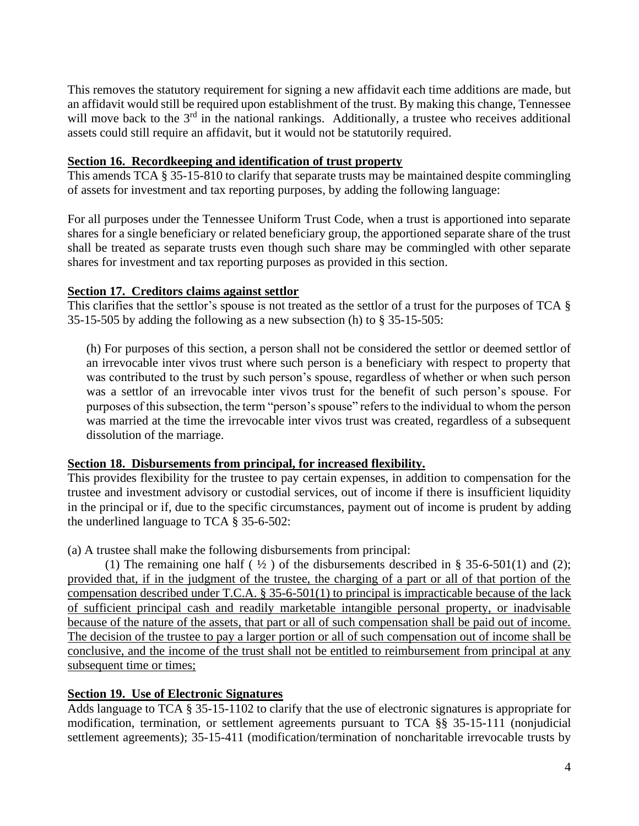This removes the statutory requirement for signing a new affidavit each time additions are made, but an affidavit would still be required upon establishment of the trust. By making this change, Tennessee will move back to the  $3<sup>rd</sup>$  in the national rankings. Additionally, a trustee who receives additional assets could still require an affidavit, but it would not be statutorily required.

#### **Section 16. Recordkeeping and identification of trust property**

This amends TCA § 35-15-810 to clarify that separate trusts may be maintained despite commingling of assets for investment and tax reporting purposes, by adding the following language:

For all purposes under the Tennessee Uniform Trust Code, when a trust is apportioned into separate shares for a single beneficiary or related beneficiary group, the apportioned separate share of the trust shall be treated as separate trusts even though such share may be commingled with other separate shares for investment and tax reporting purposes as provided in this section.

## **Section 17. Creditors claims against settlor**

This clarifies that the settlor's spouse is not treated as the settlor of a trust for the purposes of TCA § 35-15-505 by adding the following as a new subsection (h) to § 35-15-505:

(h) For purposes of this section, a person shall not be considered the settlor or deemed settlor of an irrevocable inter vivos trust where such person is a beneficiary with respect to property that was contributed to the trust by such person's spouse, regardless of whether or when such person was a settlor of an irrevocable inter vivos trust for the benefit of such person's spouse. For purposes of this subsection, the term "person's spouse" refers to the individual to whom the person was married at the time the irrevocable inter vivos trust was created, regardless of a subsequent dissolution of the marriage.

#### **Section 18. Disbursements from principal, for increased flexibility.**

This provides flexibility for the trustee to pay certain expenses, in addition to compensation for the trustee and investment advisory or custodial services, out of income if there is insufficient liquidity in the principal or if, due to the specific circumstances, payment out of income is prudent by adding the underlined language to TCA § 35-6-502:

(a) A trustee shall make the following disbursements from principal:

(1) The remaining one half ( $\frac{1}{2}$ ) of the disbursements described in § 35-6-501(1) and (2); provided that, if in the judgment of the trustee, the charging of a part or all of that portion of the compensation described under T.C.A. § 35-6-501(1) to principal is impracticable because of the lack of sufficient principal cash and readily marketable intangible personal property, or inadvisable because of the nature of the assets, that part or all of such compensation shall be paid out of income. The decision of the trustee to pay a larger portion or all of such compensation out of income shall be conclusive, and the income of the trust shall not be entitled to reimbursement from principal at any subsequent time or times;

# **Section 19. Use of Electronic Signatures**

Adds language to TCA § 35-15-1102 to clarify that the use of electronic signatures is appropriate for modification, termination, or settlement agreements pursuant to TCA §§ 35-15-111 (nonjudicial settlement agreements); 35-15-411 (modification/termination of noncharitable irrevocable trusts by